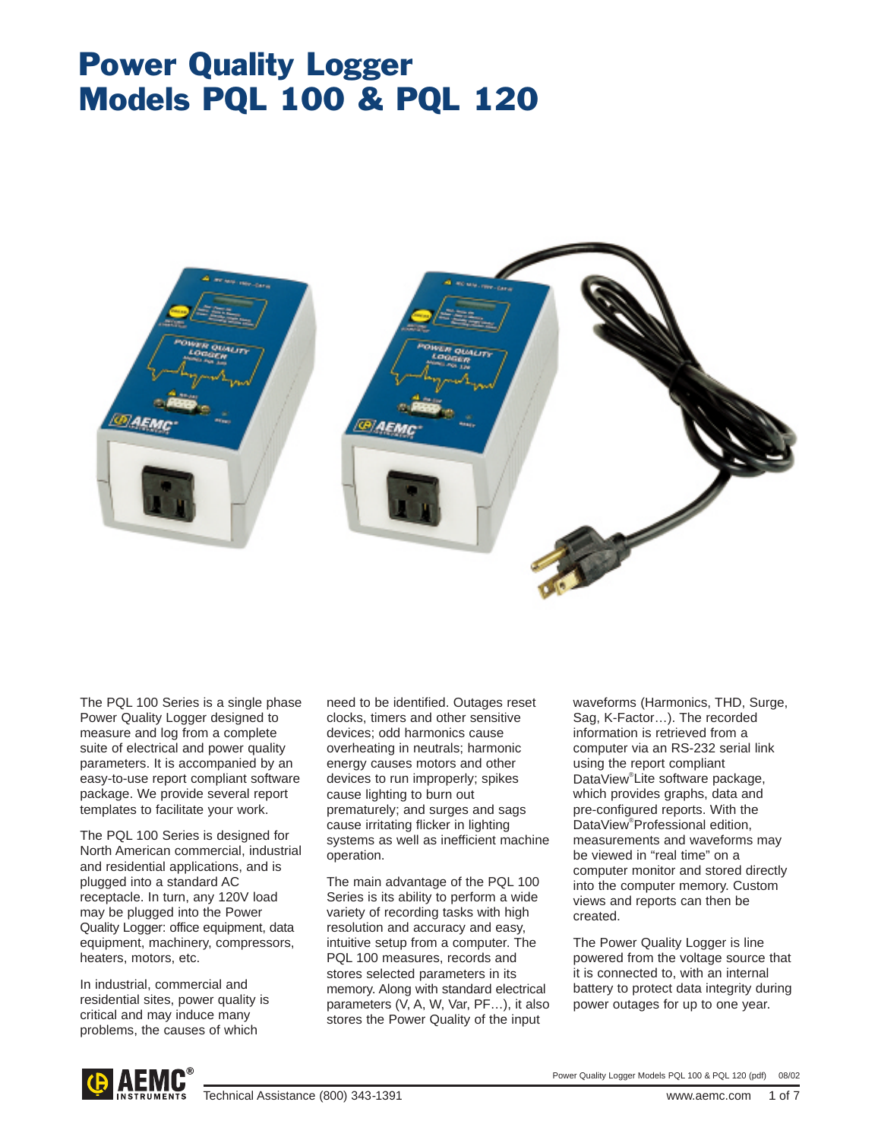# Power Quality Logger Models PQL 100 & PQL 120



The PQL 100 Series is a single phase Power Quality Logger designed to measure and log from a complete suite of electrical and power quality parameters. It is accompanied by an easy-to-use report compliant software package. We provide several report templates to facilitate your work.

The PQL 100 Series is designed for North American commercial, industrial and residential applications, and is plugged into a standard AC receptacle. In turn, any 120V load may be plugged into the Power Quality Logger: office equipment, data equipment, machinery, compressors, heaters, motors, etc.

In industrial, commercial and residential sites, power quality is critical and may induce many problems, the causes of which

need to be identified. Outages reset clocks, timers and other sensitive devices; odd harmonics cause overheating in neutrals; harmonic energy causes motors and other devices to run improperly; spikes cause lighting to burn out prematurely; and surges and sags cause irritating flicker in lighting systems as well as inefficient machine operation.

The main advantage of the PQL 100 Series is its ability to perform a wide variety of recording tasks with high resolution and accuracy and easy, intuitive setup from a computer. The PQL 100 measures, records and stores selected parameters in its memory. Along with standard electrical parameters (V, A, W, Var, PF…), it also stores the Power Quality of the input

waveforms (Harmonics, THD, Surge, Sag, K-Factor…). The recorded information is retrieved from a computer via an RS-232 serial link using the report compliant DataView® Lite software package, which provides graphs, data and pre-configured reports. With the DataView® Professional edition, measurements and waveforms may be viewed in "real time" on a computer monitor and stored directly into the computer memory. Custom views and reports can then be created.

The Power Quality Logger is line powered from the voltage source that it is connected to, with an internal battery to protect data integrity during power outages for up to one year.

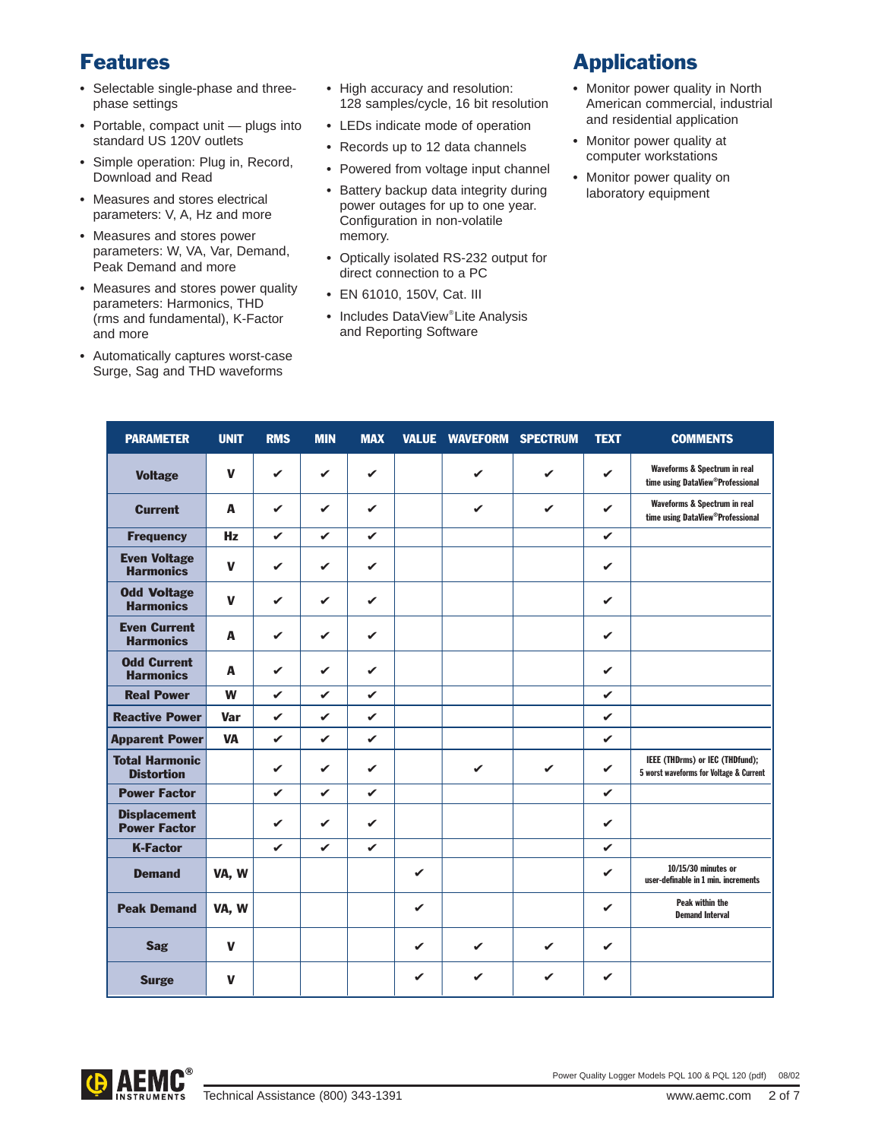## Features

- **•** Selectable single-phase and threephase settings
- **•** Portable, compact unit plugs into standard US 120V outlets
- **•** Simple operation: Plug in, Record, Download and Read
- **•** Measures and stores electrical parameters: V, A, Hz and more
- **•** Measures and stores power parameters: W, VA, Var, Demand, Peak Demand and more
- **•** Measures and stores power quality parameters: Harmonics, THD (rms and fundamental), K-Factor and more
- **•** Automatically captures worst-case Surge, Sag and THD waveforms
- **•** High accuracy and resolution: 128 samples/cycle, 16 bit resolution
- **•** LEDs indicate mode of operation
- **•** Records up to 12 data channels
- **•** Powered from voltage input channel
- **•** Battery backup data integrity during power outages for up to one year. Configuration in non-volatile memory.
- **•** Optically isolated RS-232 output for direct connection to a PC
- **•** EN 61010, 150V, Cat. III
- **•** Includes DataView® Lite Analysis and Reporting Software

### **Applications**

- **•** Monitor power quality in North American commercial, industrial and residential application
- **•** Monitor power quality at computer workstations
- **•** Monitor power quality on laboratory equipment

| <b>PARAMETER</b>                           | <b>UNIT</b>  | <b>RMS</b>   | <b>MIN</b>   | <b>MAX</b>   |              | <b>VALUE WAVEFORM SPECTRUM</b> |              | <b>TEXT</b>  | <b>COMMENTS</b>                                                               |
|--------------------------------------------|--------------|--------------|--------------|--------------|--------------|--------------------------------|--------------|--------------|-------------------------------------------------------------------------------|
| <b>Voltage</b>                             | $\mathbf{V}$ | $\mathbf{v}$ | $\mathbf{v}$ | $\checkmark$ |              | $\checkmark$                   | $\mathbf{v}$ | $\checkmark$ | Waveforms & Spectrum in real<br>time using DataView <sup>®</sup> Professional |
| <b>Current</b>                             | A            | $\mathbf{v}$ | $\checkmark$ | $\checkmark$ |              | ✓                              | $\mathbf{v}$ | $\checkmark$ | Waveforms & Spectrum in real<br>time using DataView®Professional              |
| <b>Frequency</b>                           | Hz           | $\mathbf{v}$ | $\checkmark$ | $\checkmark$ |              |                                |              | ✓            |                                                                               |
| <b>Even Voltage</b><br><b>Harmonics</b>    | $\mathbf{V}$ | $\mathbf{v}$ | $\checkmark$ | $\checkmark$ |              |                                |              | ✓            |                                                                               |
| <b>Odd Voltage</b><br><b>Harmonics</b>     | $\mathbf{V}$ | $\mathbf{v}$ | $\mathbf{v}$ | $\mathbf{v}$ |              |                                |              | $\checkmark$ |                                                                               |
| <b>Even Current</b><br><b>Harmonics</b>    | A            | $\mathbf{v}$ | $\checkmark$ | ✓            |              |                                |              | ✓            |                                                                               |
| <b>Odd Current</b><br><b>Harmonics</b>     | A            | $\mathbf{v}$ | $\checkmark$ | $\mathbf{v}$ |              |                                |              | $\checkmark$ |                                                                               |
| <b>Real Power</b>                          | W            | $\checkmark$ | $\checkmark$ | V            |              |                                |              | ✓            |                                                                               |
| <b>Reactive Power</b>                      | <b>Var</b>   | $\mathbf{v}$ | $\checkmark$ | $\checkmark$ |              |                                |              | V            |                                                                               |
| <b>Apparent Power</b>                      | <b>VA</b>    | $\mathbf{v}$ | $\mathbf{v}$ | $\checkmark$ |              |                                |              | ✓            |                                                                               |
| <b>Total Harmonic</b><br><b>Distortion</b> |              | $\checkmark$ | $\mathbf{v}$ | $\checkmark$ |              | ✓                              | $\checkmark$ | $\checkmark$ | IEEE (THDrms) or IEC (THDfund);<br>5 worst waveforms for Voltage & Current    |
| <b>Power Factor</b>                        |              | $\mathbf{v}$ | $\mathbf{v}$ | $\mathbf{v}$ |              |                                |              | V            |                                                                               |
| <b>Displacement</b><br><b>Power Factor</b> |              | $\mathbf{v}$ | $\checkmark$ | $\checkmark$ |              |                                |              | $\checkmark$ |                                                                               |
| <b>K-Factor</b>                            |              | $\checkmark$ | $\mathbf{v}$ | $\checkmark$ |              |                                |              | ✓            |                                                                               |
| <b>Demand</b>                              | VA, W        |              |              |              | ✓            |                                |              | ✓            | 10/15/30 minutes or<br>user-definable in 1 min. increments                    |
| <b>Peak Demand</b>                         | VA, W        |              |              |              | $\checkmark$ |                                |              | V            | Peak within the<br><b>Demand Interval</b>                                     |
| <b>Sag</b>                                 | $\mathbf v$  |              |              |              | $\checkmark$ | ✓                              | ✓            | ✓            |                                                                               |
| <b>Surge</b>                               | $\mathbf v$  |              |              |              | ✓            | ✓                              | ✓            | V            |                                                                               |

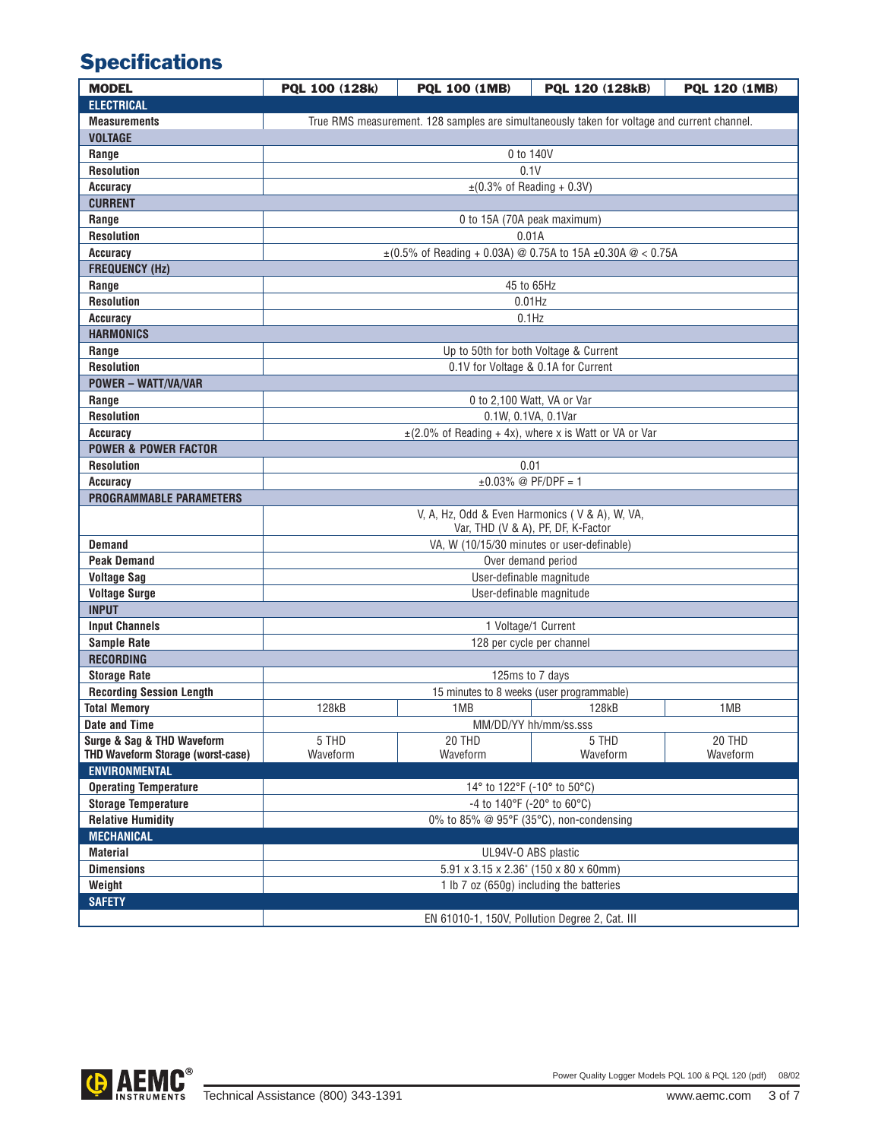# **Specifications**

| <b>MODEL</b>                             | PQL 100 (128k)                                                                              | <b>PQL 100 (1MB)</b>                                       | PQL 120 (128kB) | PQL 120 (1MB) |  |  |  |  |  |
|------------------------------------------|---------------------------------------------------------------------------------------------|------------------------------------------------------------|-----------------|---------------|--|--|--|--|--|
| <b>ELECTRICAL</b>                        |                                                                                             |                                                            |                 |               |  |  |  |  |  |
| <b>Measurements</b>                      | True RMS measurement. 128 samples are simultaneously taken for voltage and current channel. |                                                            |                 |               |  |  |  |  |  |
| <b>VOLTAGE</b>                           |                                                                                             |                                                            |                 |               |  |  |  |  |  |
| Range                                    | 0 to 140V                                                                                   |                                                            |                 |               |  |  |  |  |  |
| <b>Resolution</b>                        | 0.1V                                                                                        |                                                            |                 |               |  |  |  |  |  |
| Accuracy                                 | $\pm$ (0.3% of Reading + 0.3V)                                                              |                                                            |                 |               |  |  |  |  |  |
| <b>CURRENT</b>                           |                                                                                             |                                                            |                 |               |  |  |  |  |  |
| Range                                    | 0 to 15A (70A peak maximum)                                                                 |                                                            |                 |               |  |  |  |  |  |
| <b>Resolution</b>                        | 0.01A                                                                                       |                                                            |                 |               |  |  |  |  |  |
| <b>Accuracy</b>                          | $\pm$ (0.5% of Reading + 0.03A) @ 0.75A to 15A $\pm$ 0.30A @ < 0.75A                        |                                                            |                 |               |  |  |  |  |  |
| <b>FREQUENCY (Hz)</b>                    |                                                                                             |                                                            |                 |               |  |  |  |  |  |
| Range                                    | 45 to 65Hz                                                                                  |                                                            |                 |               |  |  |  |  |  |
| <b>Resolution</b>                        | $0.01$ Hz                                                                                   |                                                            |                 |               |  |  |  |  |  |
| Accuracy                                 | $0.1$ Hz                                                                                    |                                                            |                 |               |  |  |  |  |  |
| <b>HARMONICS</b>                         |                                                                                             |                                                            |                 |               |  |  |  |  |  |
| Range                                    | Up to 50th for both Voltage & Current                                                       |                                                            |                 |               |  |  |  |  |  |
| <b>Resolution</b>                        | 0.1V for Voltage & 0.1A for Current                                                         |                                                            |                 |               |  |  |  |  |  |
| <b>POWER - WATT/VA/VAR</b>               |                                                                                             |                                                            |                 |               |  |  |  |  |  |
| Range                                    | 0 to 2,100 Watt, VA or Var                                                                  |                                                            |                 |               |  |  |  |  |  |
| <b>Resolution</b>                        | 0.1W, 0.1VA, 0.1Var                                                                         |                                                            |                 |               |  |  |  |  |  |
| <b>Accuracy</b>                          |                                                                                             | $\pm$ (2.0% of Reading + 4x), where x is Watt or VA or Var |                 |               |  |  |  |  |  |
| <b>POWER &amp; POWER FACTOR</b>          |                                                                                             |                                                            |                 |               |  |  |  |  |  |
| <b>Resolution</b>                        | 0.01                                                                                        |                                                            |                 |               |  |  |  |  |  |
| Accuracy                                 | $±0.03\%$ @ PF/DPF = 1                                                                      |                                                            |                 |               |  |  |  |  |  |
| <b>PROGRAMMABLE PARAMETERS</b>           |                                                                                             |                                                            |                 |               |  |  |  |  |  |
|                                          | V, A, Hz, Odd & Even Harmonics (V & A), W, VA,<br>Var, THD (V & A), PF, DF, K-Factor        |                                                            |                 |               |  |  |  |  |  |
| <b>Demand</b>                            | VA, W (10/15/30 minutes or user-definable)                                                  |                                                            |                 |               |  |  |  |  |  |
| <b>Peak Demand</b>                       | Over demand period                                                                          |                                                            |                 |               |  |  |  |  |  |
| <b>Voltage Sag</b>                       | User-definable magnitude                                                                    |                                                            |                 |               |  |  |  |  |  |
| <b>Voltage Surge</b>                     | User-definable magnitude                                                                    |                                                            |                 |               |  |  |  |  |  |
| <b>INPUT</b>                             |                                                                                             |                                                            |                 |               |  |  |  |  |  |
| <b>Input Channels</b>                    | 1 Voltage/1 Current                                                                         |                                                            |                 |               |  |  |  |  |  |
| <b>Sample Rate</b>                       | 128 per cycle per channel                                                                   |                                                            |                 |               |  |  |  |  |  |
| <b>RECORDING</b>                         |                                                                                             |                                                            |                 |               |  |  |  |  |  |
| <b>Storage Rate</b>                      | 125ms to 7 days                                                                             |                                                            |                 |               |  |  |  |  |  |
| <b>Recording Session Length</b>          | 15 minutes to 8 weeks (user programmable)                                                   |                                                            |                 |               |  |  |  |  |  |
| <b>Total Memory</b>                      | 128kB                                                                                       | 1MB                                                        | <b>128kB</b>    | 1MB           |  |  |  |  |  |
| <b>Date and Time</b>                     | MM/DD/YY hh/mm/ss.sss                                                                       |                                                            |                 |               |  |  |  |  |  |
| Surge & Sag & THD Waveform               | 5 THD                                                                                       | 20 THD                                                     | 5 THD           | 20 THD        |  |  |  |  |  |
| <b>THD Waveform Storage (worst-case)</b> | Waveform                                                                                    | Waveform                                                   | Waveform        | Waveform      |  |  |  |  |  |
| <b>ENVIRONMENTAL</b>                     |                                                                                             |                                                            |                 |               |  |  |  |  |  |
| <b>Operating Temperature</b>             | 14° to 122°F (-10° to 50°C)                                                                 |                                                            |                 |               |  |  |  |  |  |
| <b>Storage Temperature</b>               | -4 to 140°F (-20° to 60°C)                                                                  |                                                            |                 |               |  |  |  |  |  |
| <b>Relative Humidity</b>                 | 0% to 85% @ 95°F (35°C), non-condensing                                                     |                                                            |                 |               |  |  |  |  |  |
| <b>MECHANICAL</b>                        |                                                                                             |                                                            |                 |               |  |  |  |  |  |
| <b>Material</b>                          | UL94V-O ABS plastic<br>5.91 x 3.15 x 2.36" (150 x 80 x 60mm)                                |                                                            |                 |               |  |  |  |  |  |
| <b>Dimensions</b>                        | 1 lb 7 oz (650g) including the batteries                                                    |                                                            |                 |               |  |  |  |  |  |
| Weight<br><b>SAFETY</b>                  |                                                                                             |                                                            |                 |               |  |  |  |  |  |
|                                          |                                                                                             | EN 61010-1, 150V, Pollution Degree 2, Cat. III             |                 |               |  |  |  |  |  |
|                                          |                                                                                             |                                                            |                 |               |  |  |  |  |  |

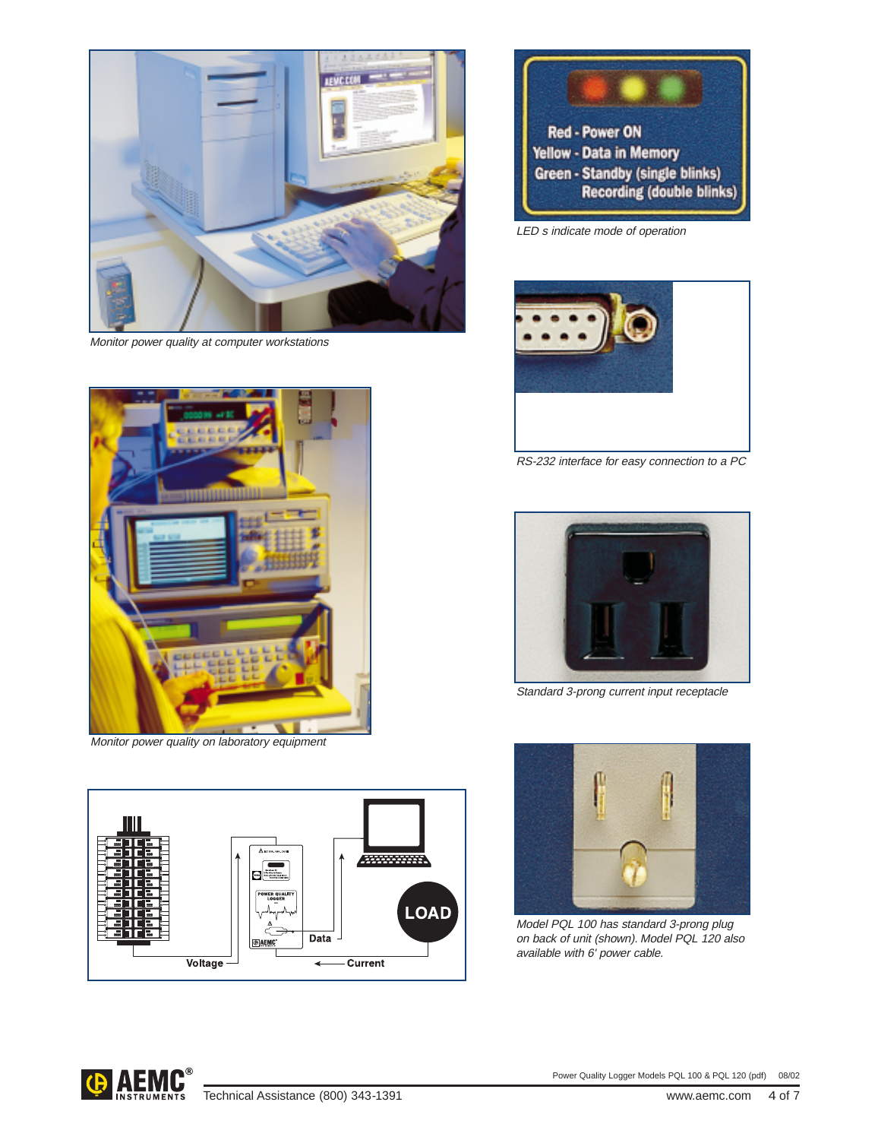

Monitor power quality at computer workstations



Monitor power quality on laboratory equipment





LED s indicate mode of operation



RS-232 interface for easy connection to a PC



Standard 3-prong current input receptacle



Model PQL 100 has standard 3-prong plug on back of unit (shown). Model PQL 120 also available with 6' power cable.

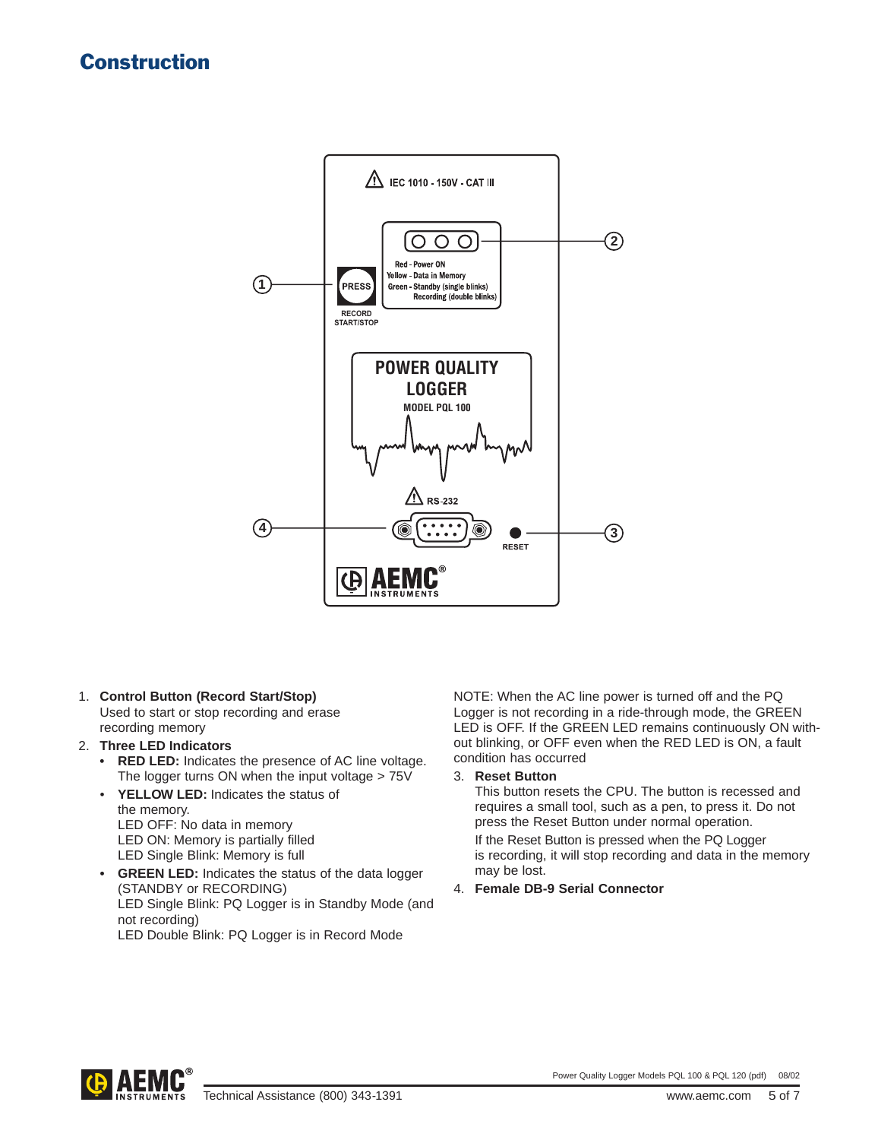### Construction



- 1. **Control Button (Record Start/Stop)** Used to start or stop recording and erase recording memory
- 2. **Three LED Indicators**
	- **• RED LED:** Indicates the presence of AC line voltage. The logger turns ON when the input voltage > 75V
	- **YELLOW LED:** Indicates the status of the memory. LED OFF: No data in memory LED ON: Memory is partially filled LED Single Blink: Memory is full
	- **• GREEN LED:** Indicates the status of the data logger (STANDBY or RECORDING) LED Single Blink: PQ Logger is in Standby Mode (and not recording) LED Double Blink: PQ Logger is in Record Mode

NOTE: When the AC line power is turned off and the PQ Logger is not recording in a ride-through mode, the GREEN LED is OFF. If the GREEN LED remains continuously ON without blinking, or OFF even when the RED LED is ON, a fault condition has occurred

3. **Reset Button**

This button resets the CPU. The button is recessed and requires a small tool, such as a pen, to press it. Do not press the Reset Button under normal operation.

If the Reset Button is pressed when the PQ Logger is recording, it will stop recording and data in the memory may be lost.

4. **Female DB-9 Serial Connector**

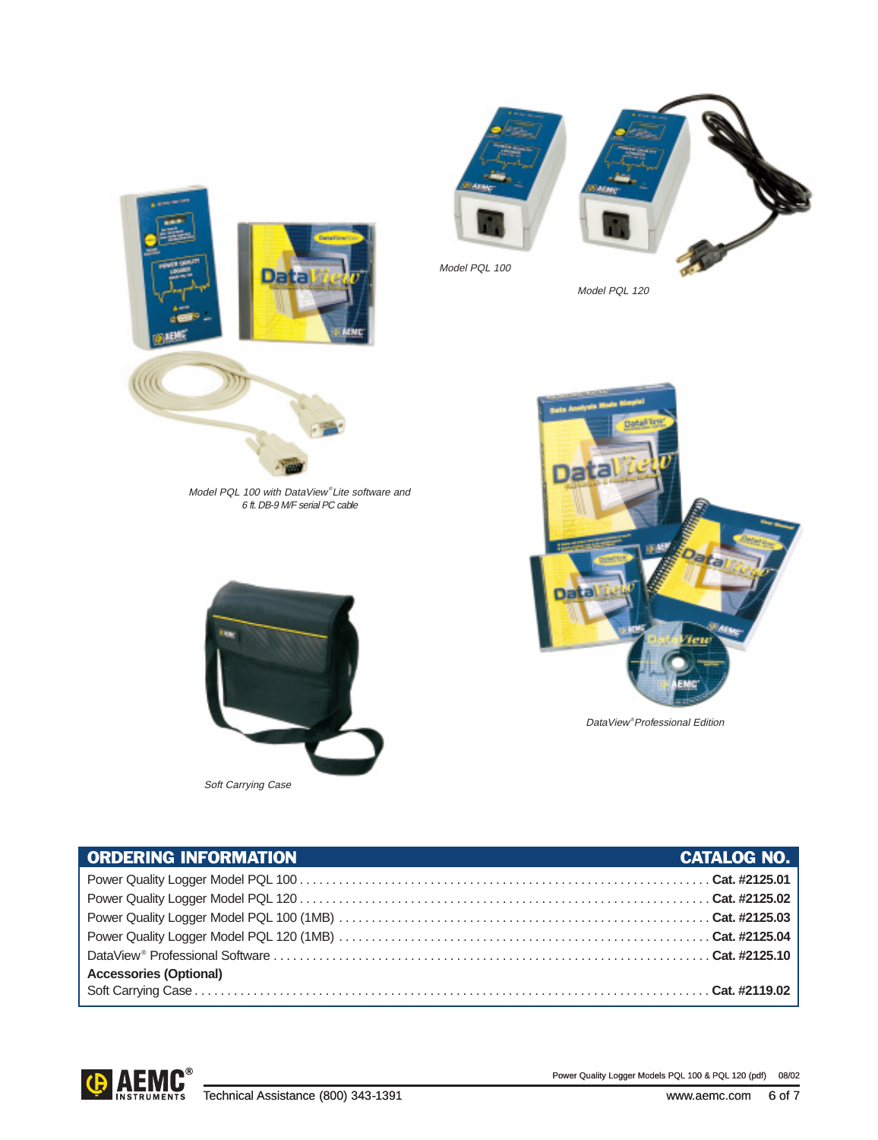



Soft Carrying Case

DataView® Professional Edition

| <b>ORDERING INFORMATION</b>   | <b>CATALOG NO.</b> |
|-------------------------------|--------------------|
|                               |                    |
|                               |                    |
|                               |                    |
|                               |                    |
|                               |                    |
| <b>Accessories (Optional)</b> |                    |
|                               |                    |